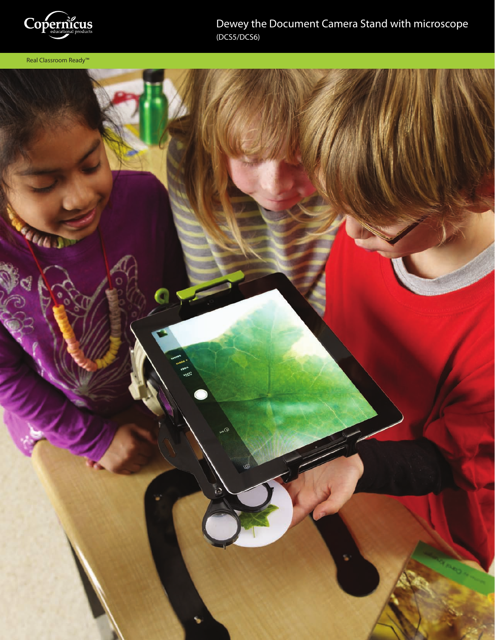

Real Classroom Ready™

Dewey the Document Camera Stand with microscope (DCS5/DCS6)